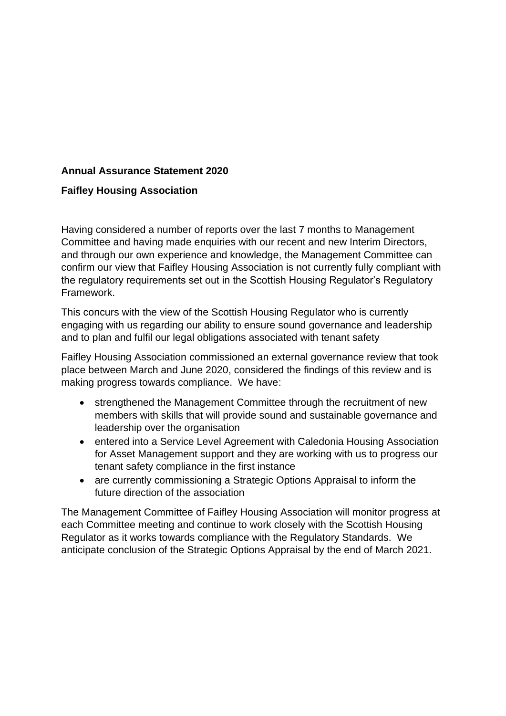## **Annual Assurance Statement 2020**

## **Faifley Housing Association**

Having considered a number of reports over the last 7 months to Management Committee and having made enquiries with our recent and new Interim Directors, and through our own experience and knowledge, the Management Committee can confirm our view that Faifley Housing Association is not currently fully compliant with the regulatory requirements set out in the Scottish Housing Regulator's Regulatory Framework.

This concurs with the view of the Scottish Housing Regulator who is currently engaging with us regarding our ability to ensure sound governance and leadership and to plan and fulfil our legal obligations associated with tenant safety

Faifley Housing Association commissioned an external governance review that took place between March and June 2020, considered the findings of this review and is making progress towards compliance. We have:

- strengthened the Management Committee through the recruitment of new members with skills that will provide sound and sustainable governance and leadership over the organisation
- entered into a Service Level Agreement with Caledonia Housing Association for Asset Management support and they are working with us to progress our tenant safety compliance in the first instance
- are currently commissioning a Strategic Options Appraisal to inform the future direction of the association

The Management Committee of Faifley Housing Association will monitor progress at each Committee meeting and continue to work closely with the Scottish Housing Regulator as it works towards compliance with the Regulatory Standards. We anticipate conclusion of the Strategic Options Appraisal by the end of March 2021.